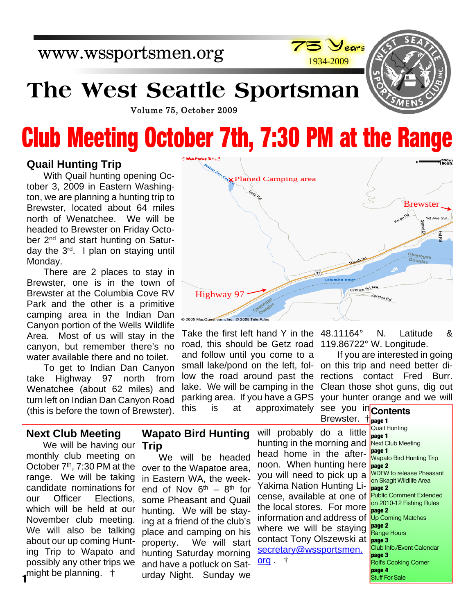

# **The West Seattle Sportsman**

Volume 75, October 2009

# **Club Meeting October 7th, 7:30 PM at the Range**

### **Quail Hunting Trip**

With Quail hunting opening October 3, 2009 in Eastern Washington, we are planning a hunting trip to Brewster, located about 64 miles north of Wenatchee. We will be headed to Brewster on Friday October 2<sup>nd</sup> and start hunting on Saturday the 3rd. I plan on staying until Monday.

There are 2 places to stay in Brewster, one is in the town of Brewster at the Columbia Cove RV Park and the other is a primitive camping area in the Indian Dan Canyon portion of the Wells Wildlife Area. Most of us will stay in the canyon, but remember there's no water available there and no toilet.

To get to Indian Dan Canyon take Highway 97 north from Wenatchee (about 62 miles) and turn left on Indian Dan Canyon Road (this is before the town of Brewster).



Take the first left hand Y in the 48.11164° N. Latitude & road, this should be Getz road 119.86722° W. Longitude. and follow until you come to a small lake/pond on the left, fol-on this trip and need better dilow the road around past the lake. We will be camping in the parking area. If you have a GPS this is at approximately

If you are interested in going rections contact Fred Burr. Clean those shot guns, dig out your hunter orange and we will

### **Next Club Meeting**

We will be having our **Trip** monthly club meeting on October 7<sup>th</sup>, 7:30 PM at the range. We will be taking candidate nominations for our Officer Elections, which will be held at our November club meeting. We will also be talking about our up coming Hunting Trip to Wapato and possibly any other trips we might be planning. † **1**

# **Wapato Bird Hunting**

We will be headed over to the Wapatoe area, in Eastern WA, the weekend of Nov  $6^{th}$  –  $8^{th}$  for some Pheasant and Quail hunting. We will be staying at a friend of the club's place and camping on his property. We will start hunting Saturday morning and have a potluck on Saturday Night. Sunday we

will probably do a little hunting in the morning and head home in the afternoon. When hunting here you will need to pick up a Yakima Nation Hunting License, available at one of the local stores. For more information and address of where we will be staying contact Tony Olszewski at secretary@wssportsmen. org . †

see you in Contents **page 1** Brewster. † Quail Hunting **page 1** Next Club Meeting **page 1** Wapato Bird Hunting Trip **page 2** WDFW to release Pheasant on Skagit Wildlife Area **page 2** Public Comment Extended on 2010-12 Fishing Rules **page 2** Up Coming Matches **page 2** Range Hours **page 3** Club Info./Event Calendar **page 3** Rolf's Cooking Corner **page 4** Stuff For Sale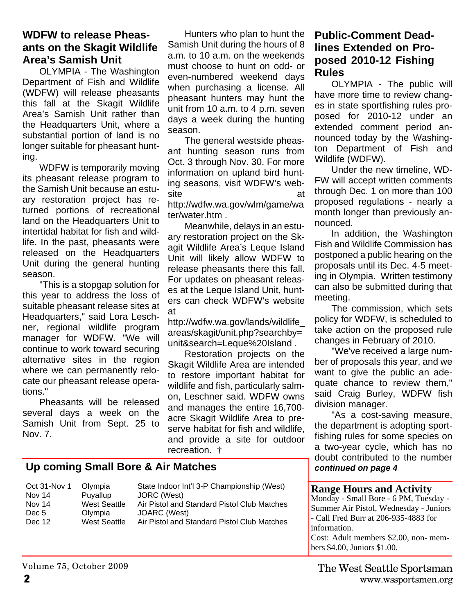### **WDFW to release Pheasants on the Skagit Wildlife Area's Samish Unit**

OLYMPIA - The Washington Department of Fish and Wildlife (WDFW) will release pheasants this fall at the Skagit Wildlife Area's Samish Unit rather than the Headquarters Unit, where a substantial portion of land is no longer suitable for pheasant hunting.

WDFW is temporarily moving its pheasant release program to the Samish Unit because an estuary restoration project has returned portions of recreational land on the Headquarters Unit to intertidal habitat for fish and wildlife. In the past, pheasants were released on the Headquarters Unit during the general hunting season.

"This is a stopgap solution for this year to address the loss of suitable pheasant release sites at Headquarters," said Lora Leschner, regional wildlife program manager for WDFW. "We will continue to work toward securing alternative sites in the region where we can permanently relocate our pheasant release operations."

Pheasants will be released several days a week on the Samish Unit from Sept. 25 to Nov. 7.

Hunters who plan to hunt the Samish Unit during the hours of 8 a.m. to 10 a.m. on the weekends must choose to hunt on odd- or even-numbered weekend days when purchasing a license. All pheasant hunters may hunt the unit from 10 a.m. to 4 p.m. seven days a week during the hunting season.

The general westside pheasant hunting season runs from Oct. 3 through Nov. 30. For more information on upland bird hunting seasons, visit WDFW's website at a structure at a structure  $\alpha$ http://wdfw.wa.gov/wlm/game/wa ter/water.htm .

Meanwhile, delays in an estuary restoration project on the Skagit Wildlife Area's Leque Island Unit will likely allow WDFW to release pheasants there this fall. For updates on pheasant releases at the Leque Island Unit, hunters can check WDFW's website at

http://wdfw.wa.gov/lands/wildlife\_ areas/skagit/unit.php?searchby= unit&search=Leque%20Island .

Restoration projects on the Skagit Wildlife Area are intended to restore important habitat for wildlife and fish, particularly salmon, Leschner said. WDFW owns and manages the entire 16,700 acre Skagit Wildlife Area to preserve habitat for fish and wildlife, and provide a site for outdoor recreation. †

# **Up coming Small Bore & Air Matches**

Oct 31-Nov 1 Olympia State Indoor Int'l 3-P Championship (West)<br>Nov 14 Puvallup JORC (West) Puyallup JORC (West)<br>West Seattle Air Pistol and Nov 14 West Seattle Air Pistol and Standard Pistol Club Matches Dec 5 Olympia JOARC (West) Dec 12 West Seattle Air Pistol and Standard Pistol Club Matches

# **Public-Comment Deadlines Extended on Proposed 2010-12 Fishing Rules**

OLYMPIA - The public will have more time to review changes in state sportfishing rules proposed for 2010-12 under an extended comment period announced today by the Washington Department of Fish and Wildlife (WDFW).

Under the new timeline, WD-FW will accept written comments through Dec. 1 on more than 100 proposed regulations - nearly a month longer than previously announced.

In addition, the Washington Fish and Wildlife Commission has postponed a public hearing on the proposals until its Dec. 4-5 meeting in Olympia. Written testimony can also be submitted during that meeting.

The commission, which sets policy for WDFW, is scheduled to take action on the proposed rule changes in February of 2010.

"We've received a large number of proposals this year, and we want to give the public an adequate chance to review them," said Craig Burley, WDFW fish division manager.

"As a cost-saving measure, the department is adopting sportfishing rules for some species on a two-year cycle, which has no doubt contributed to the number *continued on page 4*

#### **Range Hours and Activity**

bers \$4.00, Juniors \$1.00.

Monday - Small Bore - 6 PM, Tuesday - Summer Air Pistol, Wednesday - Juniors - Call Fred Burr at 206-935-4883 for information. Cost: Adult members \$2.00, non- mem-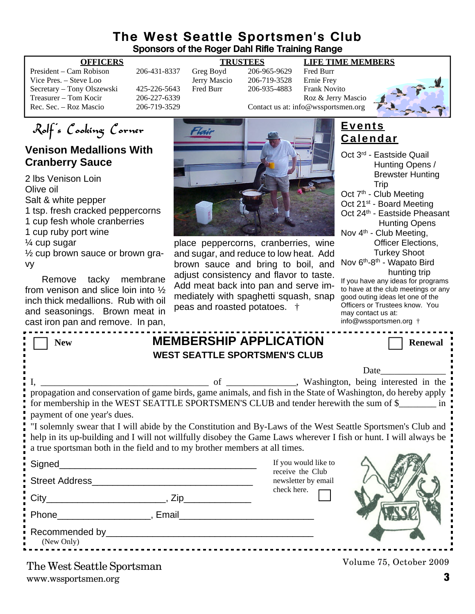## **The West Seattle Sportsmen's Club Sponsors of the Roger Dahl Rifle Training Range**

| President – Cam Robison    |  |
|----------------------------|--|
| Vice Pres. – Steve Loo     |  |
| Secretary – Tony Olszewski |  |
| Treasurer – Tom Kocir      |  |
| Rec. Sec. – Roz Mascio     |  |

Victor 206-719-3528<br>Fred Burr 206-935-4883

#### **OFFICERS TRUSTEES LIFE TIME MEMBERS**

206-431-8337 Greg Boyd 206-965-9629 Fred Burr<br>Jerry Mascio 206-719-3528 Ernie Frev 425-226-5643 Fred Burr 206-935-4883 Frank Novito Treasurer – Tom Contact us at: info@wsportsmen.org<br>206-719-3529 Contact us at: info@wsportsmen.org Contact us at: info@wssportsmen.org



Rolf's Cooking Corner

# **Venison Medallions With Cranberry Sauce**

2 lbs Venison Loin Olive oil Salt & white pepper 1 tsp. fresh cracked peppercorns 1 cup fesh whole cranberries 1 cup ruby port wine ¼ cup sugar ½ cup brown sauce or brown gravy

Remove tacky membrane from venison and slice loin into ½ inch thick medallions. Rub with oil and seasonings. Brown meat in cast iron pan and remove. In pan,



place peppercorns, cranberries, wine and sugar, and reduce to low heat. Add brown sauce and bring to boil, and adjust consistency and flavor to taste. Add meat back into pan and serve immediately with spaghetti squash, snap peas and roasted potatoes. †

|  | <b>Events</b>   |  |  |
|--|-----------------|--|--|
|  | <b>Calendar</b> |  |  |

| Oct 3 <sup>rd</sup> - Eastside Quail               |
|----------------------------------------------------|
| Hunting Opens /                                    |
| <b>Brewster Hunting</b>                            |
| Trip                                               |
| Oct 7 <sup>th</sup> - Club Meeting                 |
| Oct 21 <sup>st</sup> - Board Meeting               |
| Oct 24th - Eastside Pheasant                       |
| <b>Hunting Opens</b>                               |
| Nov 4 <sup>th</sup> - Club Meeting,                |
| Officer Elections,                                 |
| <b>Turkey Shoot</b>                                |
| Nov 6 <sup>th</sup> -8 <sup>th</sup> - Wapato Bird |
| hunting trip                                       |
| If you have any ideas for programs                 |
| to have at the club meetings or any                |
| good outing ideas let one of the                   |
| Officers or Trustees know You                      |

Officers or Trustees know. You may contact us at: info@wssportsmen.org †

| <b>New</b>                                                                                                                                                                                                                                                                                                     |                                                      | <b>MEMBERSHIP APPLICATION</b>           | <b>Renewal</b>          |  |  |  |  |  |
|----------------------------------------------------------------------------------------------------------------------------------------------------------------------------------------------------------------------------------------------------------------------------------------------------------------|------------------------------------------------------|-----------------------------------------|-------------------------|--|--|--|--|--|
| <b>WEST SEATTLE SPORTSMEN'S CLUB</b>                                                                                                                                                                                                                                                                           |                                                      |                                         |                         |  |  |  |  |  |
|                                                                                                                                                                                                                                                                                                                |                                                      |                                         | Date                    |  |  |  |  |  |
| propagation and conservation of game birds, game animals, and fish in the State of Washington, do hereby apply<br>for membership in the WEST SEATTLE SPORTSMEN'S CLUB and tender herewith the sum of \$                                                                                                        |                                                      |                                         |                         |  |  |  |  |  |
| payment of one year's dues.                                                                                                                                                                                                                                                                                    |                                                      |                                         |                         |  |  |  |  |  |
| If solemnly swear that I will abide by the Constitution and By-Laws of the West Seattle Sportsmen's Club and<br>help in its up-building and I will not willfully disobey the Game Laws wherever I fish or hunt. I will always be<br>a true sportsman both in the field and to my brother members at all times. |                                                      |                                         |                         |  |  |  |  |  |
| Signed__________                                                                                                                                                                                                                                                                                               | <u> 1990 - Johann John Stone, mars et al. (1990)</u> | If you would like to                    |                         |  |  |  |  |  |
| Street Address and the contract of the contract of the contract of the contract of the contract of the contract of the contract of the contract of the contract of the contract of the contract of the contract of the contrac                                                                                 |                                                      | receive the Club<br>newsletter by email |                         |  |  |  |  |  |
|                                                                                                                                                                                                                                                                                                                |                                                      | check here.                             |                         |  |  |  |  |  |
| Phone Reserves Representation of the Reserves Reserves Reserves Agency Reserves Reserves Agency Reserves Reserves                                                                                                                                                                                              |                                                      |                                         |                         |  |  |  |  |  |
| Recommended by Property and the commended by the commended by the comment of the comment of the comment of the comment of the comment of the comment of the comment of the comment of the comment of the comment of the commen<br>(New Only)                                                                   |                                                      |                                         |                         |  |  |  |  |  |
| The West Seattle Sportsman                                                                                                                                                                                                                                                                                     |                                                      |                                         | Volume 75, October 2009 |  |  |  |  |  |

www.wssportsmen.org **3** The West Seattle Sportsman